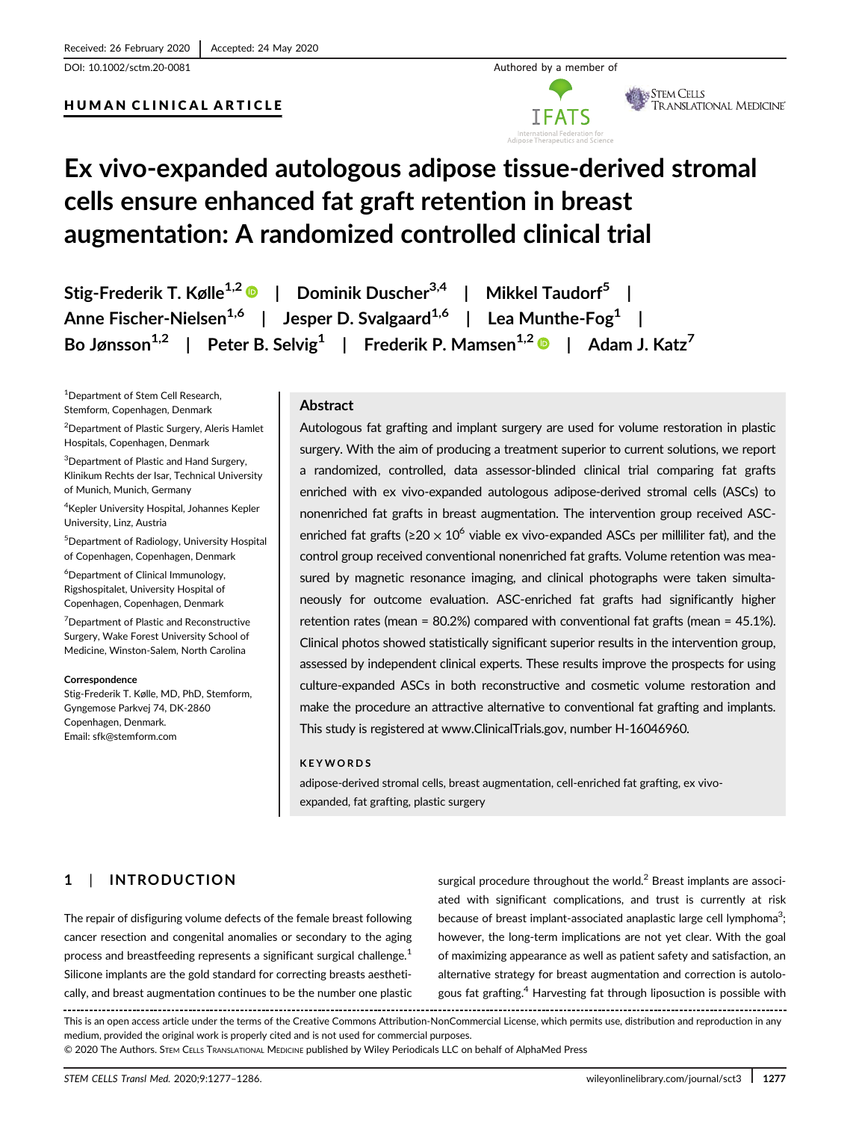DOI: 10.1002/sctm.20-0081

## HUMAN CLINICAL ARTICLE





STEM CELLS TRANSLATIONAL MEDICINE

# Ex vivo-expanded autologous adipose tissue-derived stromal cells ensure enhanced fat graft retention in breast augmentation: A randomized controlled clinical trial

Stig-Frederik T. Kølle<sup>1,2</sup>  $\bullet$  | Dominik Duscher<sup>3,4</sup> | Mikkel Taudorf<sup>5</sup> | Anne Fischer-Nielsen<sup>1,6</sup> | Jesper D. Svalgaard<sup>1,6</sup> | Lea Munthe-Fog<sup>1</sup> | Bo Jønsson<sup>1,2</sup> | Peter B. Selvig<sup>1</sup> | Frederik P. Mamsen<sup>1,2</sup> | Adam J. Katz<sup>7</sup>

1 Department of Stem Cell Research, Stemform, Copenhagen, Denmark

2 Department of Plastic Surgery, Aleris Hamlet Hospitals, Copenhagen, Denmark

3 Department of Plastic and Hand Surgery, Klinikum Rechts der Isar, Technical University of Munich, Munich, Germany

4 Kepler University Hospital, Johannes Kepler University, Linz, Austria

5 Department of Radiology, University Hospital of Copenhagen, Copenhagen, Denmark

6 Department of Clinical Immunology, Rigshospitalet, University Hospital of Copenhagen, Copenhagen, Denmark

<sup>7</sup> Department of Plastic and Reconstructive Surgery, Wake Forest University School of Medicine, Winston-Salem, North Carolina

**Correspondence** Stig-Frederik T. Kølle, MD, PhD, Stemform, Gyngemose Parkvej 74, DK-2860 Copenhagen, Denmark. Email: [sfk@stemform.com](mailto:sfk@stemform.com)

## Abstract

Autologous fat grafting and implant surgery are used for volume restoration in plastic surgery. With the aim of producing a treatment superior to current solutions, we report a randomized, controlled, data assessor-blinded clinical trial comparing fat grafts enriched with ex vivo-expanded autologous adipose-derived stromal cells (ASCs) to nonenriched fat grafts in breast augmentation. The intervention group received ASCenriched fat grafts ( $\geq$ 20  $\times$  10<sup>6</sup> viable ex vivo-expanded ASCs per milliliter fat), and the control group received conventional nonenriched fat grafts. Volume retention was measured by magnetic resonance imaging, and clinical photographs were taken simultaneously for outcome evaluation. ASC-enriched fat grafts had significantly higher retention rates (mean = 80.2%) compared with conventional fat grafts (mean = 45.1%). Clinical photos showed statistically significant superior results in the intervention group, assessed by independent clinical experts. These results improve the prospects for using culture-expanded ASCs in both reconstructive and cosmetic volume restoration and make the procedure an attractive alternative to conventional fat grafting and implants. This study is registered at [www.ClinicalTrials.gov,](http://www.ClinicalTrials.gov) number H-16046960.

## KEYWORDS

adipose-derived stromal cells, breast augmentation, cell-enriched fat grafting, ex vivoexpanded, fat grafting, plastic surgery

# 1 | INTRODUCTION

The repair of disfiguring volume defects of the female breast following cancer resection and congenital anomalies or secondary to the aging process and breastfeeding represents a significant surgical challenge.<sup>1</sup> Silicone implants are the gold standard for correcting breasts aesthetically, and breast augmentation continues to be the number one plastic surgical procedure throughout the world.<sup>2</sup> Breast implants are associated with significant complications, and trust is currently at risk because of breast implant-associated anaplastic large cell lymphoma<sup>3</sup>; however, the long-term implications are not yet clear. With the goal of maximizing appearance as well as patient safety and satisfaction, an alternative strategy for breast augmentation and correction is autologous fat grafting.4 Harvesting fat through liposuction is possible with

This is an open access article under the terms of the [Creative Commons Attribution-NonCommercial](http://creativecommons.org/licenses/by-nc/4.0/) License, which permits use, distribution and reproduction in any medium, provided the original work is properly cited and is not used for commercial purposes.

© 2020 The Authors. STEM CELLS TRANSLATIONAL MEDICINE published by Wiley Periodicals LLC on behalf of AlphaMed Press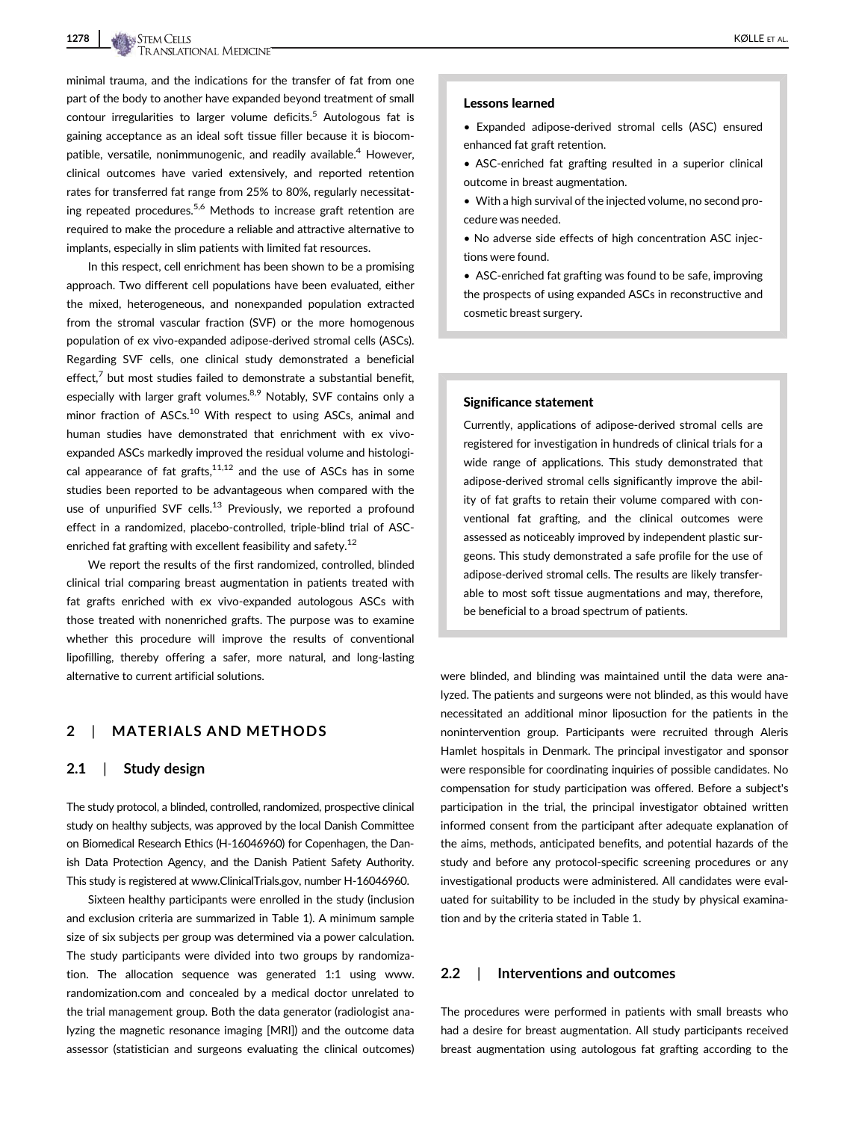minimal trauma, and the indications for the transfer of fat from one part of the body to another have expanded beyond treatment of small contour irregularities to larger volume deficits.<sup>5</sup> Autologous fat is gaining acceptance as an ideal soft tissue filler because it is biocompatible, versatile, nonimmunogenic, and readily available.<sup>4</sup> However, clinical outcomes have varied extensively, and reported retention rates for transferred fat range from 25% to 80%, regularly necessitating repeated procedures.<sup>5,6</sup> Methods to increase graft retention are required to make the procedure a reliable and attractive alternative to implants, especially in slim patients with limited fat resources.

In this respect, cell enrichment has been shown to be a promising approach. Two different cell populations have been evaluated, either the mixed, heterogeneous, and nonexpanded population extracted from the stromal vascular fraction (SVF) or the more homogenous population of ex vivo-expanded adipose-derived stromal cells (ASCs). Regarding SVF cells, one clinical study demonstrated a beneficial effect, $^7$  but most studies failed to demonstrate a substantial benefit, especially with larger graft volumes.<sup>8,9</sup> Notably, SVF contains only a minor fraction of ASCs.<sup>10</sup> With respect to using ASCs, animal and human studies have demonstrated that enrichment with ex vivoexpanded ASCs markedly improved the residual volume and histological appearance of fat grafts, $11,12$  and the use of ASCs has in some studies been reported to be advantageous when compared with the use of unpurified SVF cells. $13$  Previously, we reported a profound effect in a randomized, placebo-controlled, triple-blind trial of ASCenriched fat grafting with excellent feasibility and safety.<sup>12</sup>

We report the results of the first randomized, controlled, blinded clinical trial comparing breast augmentation in patients treated with fat grafts enriched with ex vivo-expanded autologous ASCs with those treated with nonenriched grafts. The purpose was to examine whether this procedure will improve the results of conventional lipofilling, thereby offering a safer, more natural, and long-lasting alternative to current artificial solutions.

## 2 | MATERIALS AND METHODS

#### 2.1 | Study design

The study protocol, a blinded, controlled, randomized, prospective clinical study on healthy subjects, was approved by the local Danish Committee on Biomedical Research Ethics (H-16046960) for Copenhagen, the Danish Data Protection Agency, and the Danish Patient Safety Authority. This study is registered at [www.ClinicalTrials.gov,](http://www.ClinicalTrials.gov) number H-16046960.

Sixteen healthy participants were enrolled in the study (inclusion and exclusion criteria are summarized in Table 1). A minimum sample size of six subjects per group was determined via a power calculation. The study participants were divided into two groups by randomization. The allocation sequence was generated 1:1 using [www.](http://www.randomization.com) [randomization.com](http://www.randomization.com) and concealed by a medical doctor unrelated to the trial management group. Both the data generator (radiologist analyzing the magnetic resonance imaging [MRI]) and the outcome data assessor (statistician and surgeons evaluating the clinical outcomes)

#### Lessons learned

• Expanded adipose-derived stromal cells (ASC) ensured enhanced fat graft retention.

- ASC-enriched fat grafting resulted in a superior clinical outcome in breast augmentation.
- With a high survival of the injected volume, no second procedure was needed.
- No adverse side effects of high concentration ASC injections were found.

• ASC-enriched fat grafting was found to be safe, improving the prospects of using expanded ASCs in reconstructive and cosmetic breast surgery.

#### Significance statement

Currently, applications of adipose-derived stromal cells are registered for investigation in hundreds of clinical trials for a wide range of applications. This study demonstrated that adipose-derived stromal cells significantly improve the ability of fat grafts to retain their volume compared with conventional fat grafting, and the clinical outcomes were assessed as noticeably improved by independent plastic surgeons. This study demonstrated a safe profile for the use of adipose-derived stromal cells. The results are likely transferable to most soft tissue augmentations and may, therefore, be beneficial to a broad spectrum of patients.

were blinded, and blinding was maintained until the data were analyzed. The patients and surgeons were not blinded, as this would have necessitated an additional minor liposuction for the patients in the nonintervention group. Participants were recruited through Aleris Hamlet hospitals in Denmark. The principal investigator and sponsor were responsible for coordinating inquiries of possible candidates. No compensation for study participation was offered. Before a subject's participation in the trial, the principal investigator obtained written informed consent from the participant after adequate explanation of the aims, methods, anticipated benefits, and potential hazards of the study and before any protocol-specific screening procedures or any investigational products were administered. All candidates were evaluated for suitability to be included in the study by physical examination and by the criteria stated in Table 1.

#### 2.2 | Interventions and outcomes

The procedures were performed in patients with small breasts who had a desire for breast augmentation. All study participants received breast augmentation using autologous fat grafting according to the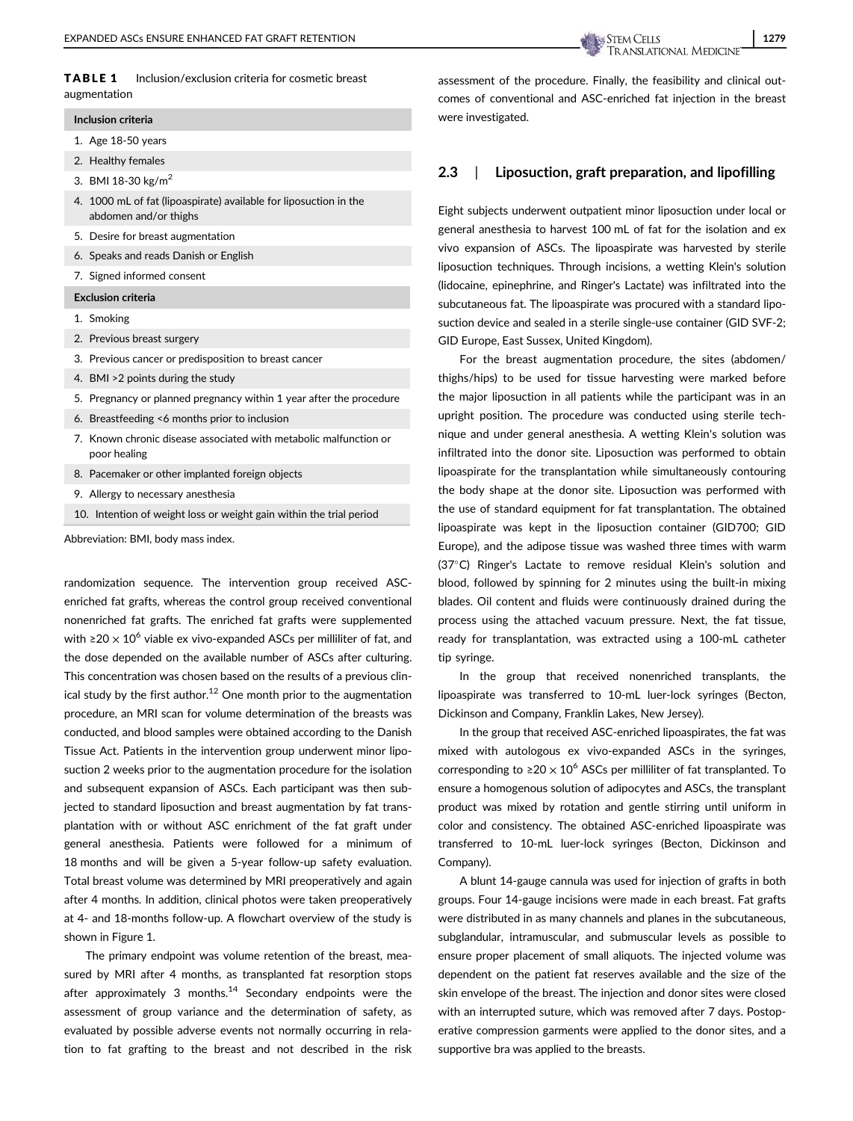TABLE 1 Inclusion/exclusion criteria for cosmetic breast augmentation

#### Inclusion criteria

- 1. Age 18-50 years
- 2. Healthy females
- 3. BMI 18-30 kg/m2
- 4. 1000 mL of fat (lipoaspirate) available for liposuction in the abdomen and/or thighs
- 5. Desire for breast augmentation
- 6. Speaks and reads Danish or English
- 7. Signed informed consent
- Exclusion criteria
- 1. Smoking
- 2. Previous breast surgery
- 3. Previous cancer or predisposition to breast cancer
- 4. BMI >2 points during the study
- 5. Pregnancy or planned pregnancy within 1 year after the procedure
- 6. Breastfeeding <6 months prior to inclusion
- 7. Known chronic disease associated with metabolic malfunction or poor healing
- 8. Pacemaker or other implanted foreign objects
- 9. Allergy to necessary anesthesia
- 10. Intention of weight loss or weight gain within the trial period

Abbreviation: BMI, body mass index.

randomization sequence. The intervention group received ASCenriched fat grafts, whereas the control group received conventional nonenriched fat grafts. The enriched fat grafts were supplemented with ≥20  $\times$  10<sup>6</sup> viable ex vivo-expanded ASCs per milliliter of fat, and the dose depended on the available number of ASCs after culturing. This concentration was chosen based on the results of a previous clinical study by the first author.<sup>12</sup> One month prior to the augmentation procedure, an MRI scan for volume determination of the breasts was conducted, and blood samples were obtained according to the Danish Tissue Act. Patients in the intervention group underwent minor liposuction 2 weeks prior to the augmentation procedure for the isolation and subsequent expansion of ASCs. Each participant was then subjected to standard liposuction and breast augmentation by fat transplantation with or without ASC enrichment of the fat graft under general anesthesia. Patients were followed for a minimum of 18 months and will be given a 5-year follow-up safety evaluation. Total breast volume was determined by MRI preoperatively and again after 4 months. In addition, clinical photos were taken preoperatively at 4- and 18-months follow-up. A flowchart overview of the study is shown in Figure 1.

The primary endpoint was volume retention of the breast, measured by MRI after 4 months, as transplanted fat resorption stops after approximately 3 months. $14$  Secondary endpoints were the assessment of group variance and the determination of safety, as evaluated by possible adverse events not normally occurring in relation to fat grafting to the breast and not described in the risk assessment of the procedure. Finally, the feasibility and clinical outcomes of conventional and ASC-enriched fat injection in the breast were investigated.

## 2.3 | Liposuction, graft preparation, and lipofilling

Eight subjects underwent outpatient minor liposuction under local or general anesthesia to harvest 100 mL of fat for the isolation and ex vivo expansion of ASCs. The lipoaspirate was harvested by sterile liposuction techniques. Through incisions, a wetting Klein's solution (lidocaine, epinephrine, and Ringer's Lactate) was infiltrated into the subcutaneous fat. The lipoaspirate was procured with a standard liposuction device and sealed in a sterile single-use container (GID SVF-2; GID Europe, East Sussex, United Kingdom).

For the breast augmentation procedure, the sites (abdomen/ thighs/hips) to be used for tissue harvesting were marked before the major liposuction in all patients while the participant was in an upright position. The procedure was conducted using sterile technique and under general anesthesia. A wetting Klein's solution was infiltrated into the donor site. Liposuction was performed to obtain lipoaspirate for the transplantation while simultaneously contouring the body shape at the donor site. Liposuction was performed with the use of standard equipment for fat transplantation. The obtained lipoaspirate was kept in the liposuction container (GID700; GID Europe), and the adipose tissue was washed three times with warm (37°C) Ringer's Lactate to remove residual Klein's solution and blood, followed by spinning for 2 minutes using the built-in mixing blades. Oil content and fluids were continuously drained during the process using the attached vacuum pressure. Next, the fat tissue, ready for transplantation, was extracted using a 100-mL catheter tip syringe.

In the group that received nonenriched transplants, the lipoaspirate was transferred to 10-mL luer-lock syringes (Becton, Dickinson and Company, Franklin Lakes, New Jersey).

In the group that received ASC-enriched lipoaspirates, the fat was mixed with autologous ex vivo-expanded ASCs in the syringes, corresponding to  $\geq$  20  $\times$  10<sup>6</sup> ASCs per milliliter of fat transplanted. To ensure a homogenous solution of adipocytes and ASCs, the transplant product was mixed by rotation and gentle stirring until uniform in color and consistency. The obtained ASC-enriched lipoaspirate was transferred to 10-mL luer-lock syringes (Becton, Dickinson and Company).

A blunt 14-gauge cannula was used for injection of grafts in both groups. Four 14-gauge incisions were made in each breast. Fat grafts were distributed in as many channels and planes in the subcutaneous, subglandular, intramuscular, and submuscular levels as possible to ensure proper placement of small aliquots. The injected volume was dependent on the patient fat reserves available and the size of the skin envelope of the breast. The injection and donor sites were closed with an interrupted suture, which was removed after 7 days. Postoperative compression garments were applied to the donor sites, and a supportive bra was applied to the breasts.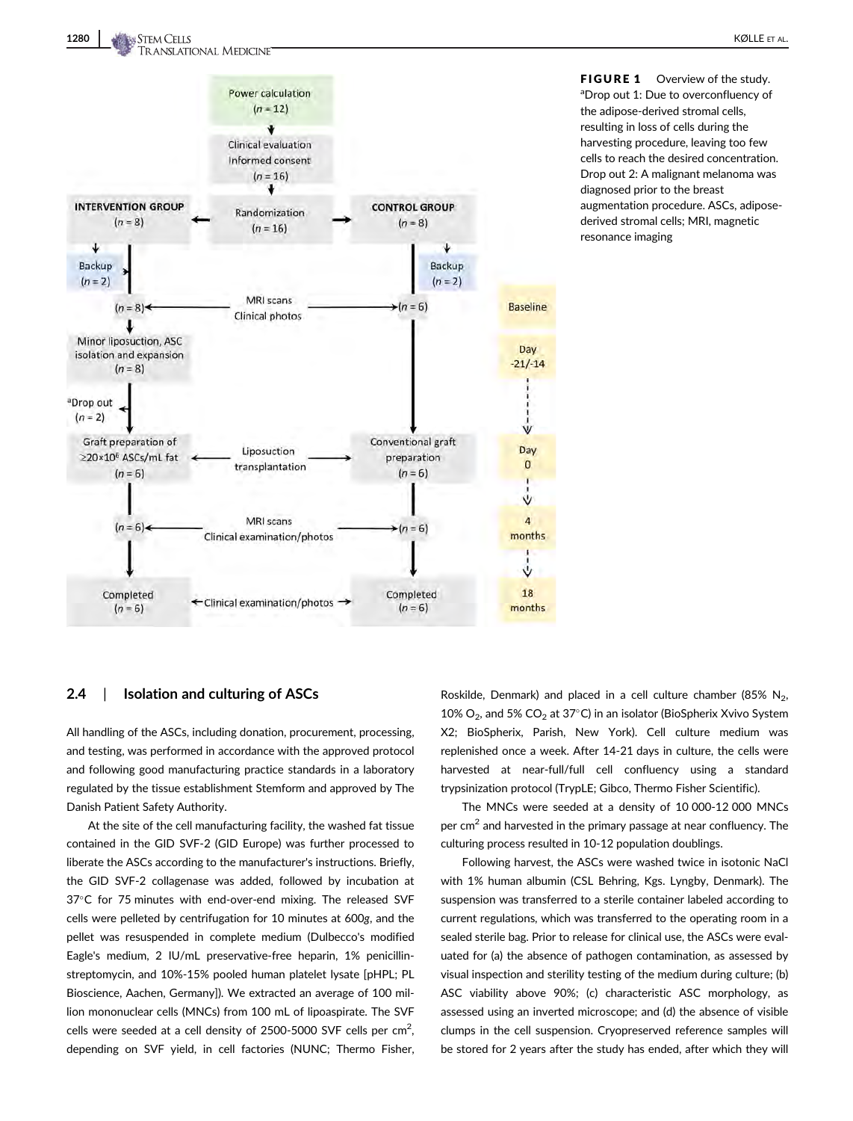

FIGURE 1 Overview of the study. <sup>a</sup>Drop out 1: Due to overconfluency of the adipose-derived stromal cells, resulting in loss of cells during the harvesting procedure, leaving too few cells to reach the desired concentration. Drop out 2: A malignant melanoma was diagnosed prior to the breast augmentation procedure. ASCs, adiposederived stromal cells; MRI, magnetic resonance imaging

## 2.4 | Isolation and culturing of ASCs

All handling of the ASCs, including donation, procurement, processing, and testing, was performed in accordance with the approved protocol and following good manufacturing practice standards in a laboratory regulated by the tissue establishment Stemform and approved by The Danish Patient Safety Authority.

At the site of the cell manufacturing facility, the washed fat tissue contained in the GID SVF-2 (GID Europe) was further processed to liberate the ASCs according to the manufacturer's instructions. Briefly, the GID SVF-2 collagenase was added, followed by incubation at 37°C for 75 minutes with end-over-end mixing. The released SVF cells were pelleted by centrifugation for 10 minutes at 600g, and the pellet was resuspended in complete medium (Dulbecco's modified Eagle's medium, 2 IU/mL preservative-free heparin, 1% penicillinstreptomycin, and 10%-15% pooled human platelet lysate [pHPL; PL Bioscience, Aachen, Germany]). We extracted an average of 100 million mononuclear cells (MNCs) from 100 mL of lipoaspirate. The SVF cells were seeded at a cell density of 2500-5000 SVF cells per  $\text{cm}^2$ , depending on SVF yield, in cell factories (NUNC; Thermo Fisher, Roskilde, Denmark) and placed in a cell culture chamber (85%  $N_2$ , 10%  $O_2$ , and 5%  $CO_2$  at 37°C) in an isolator (BioSpherix Xvivo System X2; BioSpherix, Parish, New York). Cell culture medium was replenished once a week. After 14-21 days in culture, the cells were harvested at near-full/full cell confluency using a standard trypsinization protocol (TrypLE; Gibco, Thermo Fisher Scientific).

The MNCs were seeded at a density of 10 000-12 000 MNCs per  $\text{cm}^2$  and harvested in the primary passage at near confluency. The culturing process resulted in 10-12 population doublings.

Following harvest, the ASCs were washed twice in isotonic NaCl with 1% human albumin (CSL Behring, Kgs. Lyngby, Denmark). The suspension was transferred to a sterile container labeled according to current regulations, which was transferred to the operating room in a sealed sterile bag. Prior to release for clinical use, the ASCs were evaluated for (a) the absence of pathogen contamination, as assessed by visual inspection and sterility testing of the medium during culture; (b) ASC viability above 90%; (c) characteristic ASC morphology, as assessed using an inverted microscope; and (d) the absence of visible clumps in the cell suspension. Cryopreserved reference samples will be stored for 2 years after the study has ended, after which they will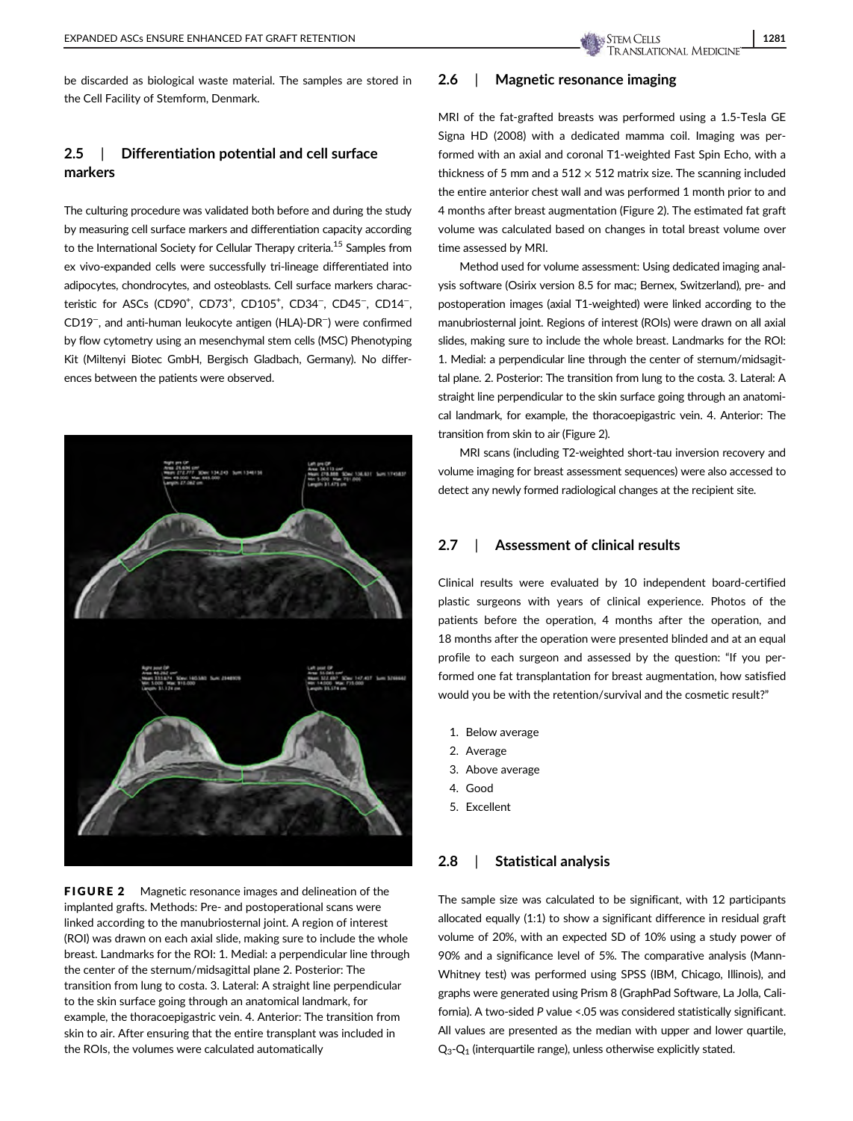be discarded as biological waste material. The samples are stored in the Cell Facility of Stemform, Denmark.

# 2.5 | Differentiation potential and cell surface markers

The culturing procedure was validated both before and during the study by measuring cell surface markers and differentiation capacity according to the International Society for Cellular Therapy criteria.<sup>15</sup> Samples from ex vivo-expanded cells were successfully tri-lineage differentiated into adipocytes, chondrocytes, and osteoblasts. Cell surface markers characteristic for ASCs (CD90<sup>+</sup>, CD73<sup>+</sup>, CD105<sup>+</sup>, CD34<sup>-</sup>, CD45<sup>-</sup>, CD14<sup>-</sup>, CD19<sup>−</sup> , and anti-human leukocyte antigen (HLA)-DR<sup>−</sup> ) were confirmed by flow cytometry using an mesenchymal stem cells (MSC) Phenotyping Kit (Miltenyi Biotec GmbH, Bergisch Gladbach, Germany). No differences between the patients were observed.



**FIGURE 2** Magnetic resonance images and delineation of the implanted grafts. Methods: Pre- and postoperational scans were linked according to the manubriosternal joint. A region of interest (ROI) was drawn on each axial slide, making sure to include the whole breast. Landmarks for the ROI: 1. Medial: a perpendicular line through the center of the sternum/midsagittal plane 2. Posterior: The transition from lung to costa. 3. Lateral: A straight line perpendicular to the skin surface going through an anatomical landmark, for example, the thoracoepigastric vein. 4. Anterior: The transition from skin to air. After ensuring that the entire transplant was included in the ROIs, the volumes were calculated automatically

## 2.6 | Magnetic resonance imaging

MRI of the fat-grafted breasts was performed using a 1.5-Tesla GE Signa HD (2008) with a dedicated mamma coil. Imaging was performed with an axial and coronal T1-weighted Fast Spin Echo, with a thickness of 5 mm and a 512  $\times$  512 matrix size. The scanning included the entire anterior chest wall and was performed 1 month prior to and 4 months after breast augmentation (Figure 2). The estimated fat graft volume was calculated based on changes in total breast volume over time assessed by MRI.

Method used for volume assessment: Using dedicated imaging analysis software (Osirix version 8.5 for mac; Bernex, Switzerland), pre- and postoperation images (axial T1-weighted) were linked according to the manubriosternal joint. Regions of interest (ROIs) were drawn on all axial slides, making sure to include the whole breast. Landmarks for the ROI: 1. Medial: a perpendicular line through the center of sternum/midsagittal plane. 2. Posterior: The transition from lung to the costa. 3. Lateral: A straight line perpendicular to the skin surface going through an anatomical landmark, for example, the thoracoepigastric vein. 4. Anterior: The transition from skin to air (Figure 2).

MRI scans (including T2-weighted short-tau inversion recovery and volume imaging for breast assessment sequences) were also accessed to detect any newly formed radiological changes at the recipient site.

## 2.7 | Assessment of clinical results

Clinical results were evaluated by 10 independent board-certified plastic surgeons with years of clinical experience. Photos of the patients before the operation, 4 months after the operation, and 18 months after the operation were presented blinded and at an equal profile to each surgeon and assessed by the question: "If you performed one fat transplantation for breast augmentation, how satisfied would you be with the retention/survival and the cosmetic result?"

- 1. Below average
- 2. Average
- 3. Above average
- 4. Good
- 5. Excellent

#### 2.8 | Statistical analysis

The sample size was calculated to be significant, with 12 participants allocated equally (1:1) to show a significant difference in residual graft volume of 20%, with an expected SD of 10% using a study power of 90% and a significance level of 5%. The comparative analysis (Mann-Whitney test) was performed using SPSS (IBM, Chicago, Illinois), and graphs were generated using Prism 8 (GraphPad Software, La Jolla, California). A two-sided P value <.05 was considered statistically significant. All values are presented as the median with upper and lower quartile, Q3-Q1 (interquartile range), unless otherwise explicitly stated.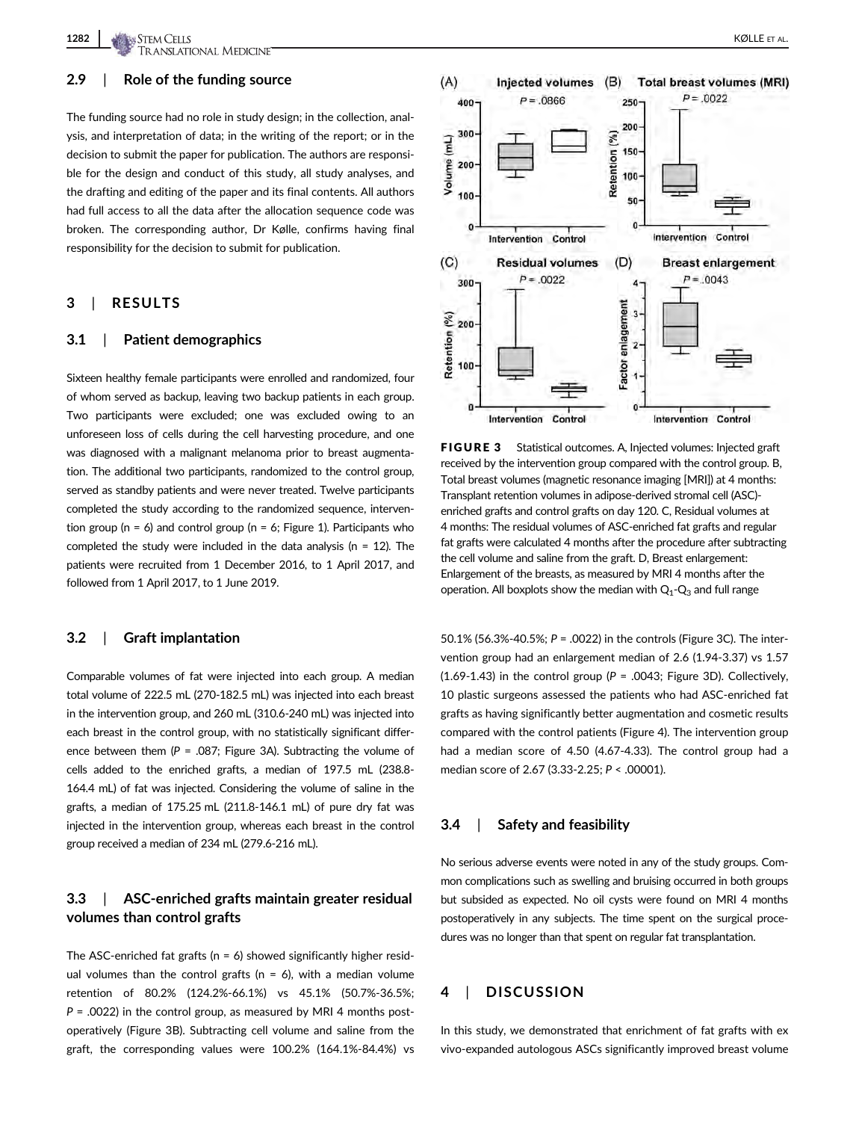1282 HOLLE ET AL. STEM CELLS AND THE STEMME OF THE STEMME OF THE STEMME OF THE STEMME OF THE STEMME OF THE STEMME OF THE STEMME OF THE STEMME OF THE STEMME OF THE STEMME OF THE STEMME OF THE STEMME OF THE STEMME OF THE STE

### 2.9 | Role of the funding source

The funding source had no role in study design; in the collection, analysis, and interpretation of data; in the writing of the report; or in the decision to submit the paper for publication. The authors are responsible for the design and conduct of this study, all study analyses, and the drafting and editing of the paper and its final contents. All authors had full access to all the data after the allocation sequence code was broken. The corresponding author, Dr Kølle, confirms having final responsibility for the decision to submit for publication.

## 3 | RESULTS

#### 3.1 | Patient demographics

Sixteen healthy female participants were enrolled and randomized, four of whom served as backup, leaving two backup patients in each group. Two participants were excluded; one was excluded owing to an unforeseen loss of cells during the cell harvesting procedure, and one was diagnosed with a malignant melanoma prior to breast augmentation. The additional two participants, randomized to the control group, served as standby patients and were never treated. Twelve participants completed the study according to the randomized sequence, intervention group ( $n = 6$ ) and control group ( $n = 6$ ; Figure 1). Participants who completed the study were included in the data analysis ( $n = 12$ ). The patients were recruited from 1 December 2016, to 1 April 2017, and followed from 1 April 2017, to 1 June 2019.

#### 3.2 | Graft implantation

Comparable volumes of fat were injected into each group. A median total volume of 222.5 mL (270-182.5 mL) was injected into each breast in the intervention group, and 260 mL (310.6-240 mL) was injected into each breast in the control group, with no statistically significant difference between them ( $P = .087$ ; Figure 3A). Subtracting the volume of cells added to the enriched grafts, a median of 197.5 mL (238.8- 164.4 mL) of fat was injected. Considering the volume of saline in the grafts, a median of 175.25 mL (211.8-146.1 mL) of pure dry fat was injected in the intervention group, whereas each breast in the control group received a median of 234 mL (279.6-216 mL).

## 3.3 | ASC-enriched grafts maintain greater residual volumes than control grafts

The ASC-enriched fat grafts ( $n = 6$ ) showed significantly higher residual volumes than the control grafts ( $n = 6$ ), with a median volume retention of 80.2% (124.2%-66.1%) vs 45.1% (50.7%-36.5%;  $P = .0022$ ) in the control group, as measured by MRI 4 months postoperatively (Figure 3B). Subtracting cell volume and saline from the graft, the corresponding values were 100.2% (164.1%-84.4%) vs



Injected volumes (B) Total breast volumes (MRI)

 $(A)$ 

received by the intervention group compared with the control group. B, Total breast volumes (magnetic resonance imaging [MRI]) at 4 months: Transplant retention volumes in adipose-derived stromal cell (ASC) enriched grafts and control grafts on day 120. C, Residual volumes at 4 months: The residual volumes of ASC-enriched fat grafts and regular fat grafts were calculated 4 months after the procedure after subtracting the cell volume and saline from the graft. D, Breast enlargement: Enlargement of the breasts, as measured by MRI 4 months after the operation. All boxplots show the median with  $Q_1-Q_3$  and full range

50.1% (56.3%-40.5%; P = .0022) in the controls (Figure 3C). The intervention group had an enlargement median of 2.6 (1.94-3.37) vs 1.57 (1.69-1.43) in the control group ( $P = .0043$ ; Figure 3D). Collectively, 10 plastic surgeons assessed the patients who had ASC-enriched fat grafts as having significantly better augmentation and cosmetic results compared with the control patients (Figure 4). The intervention group had a median score of 4.50 (4.67-4.33). The control group had a median score of 2.67 (3.33-2.25; P < .00001).

#### 3.4 | Safety and feasibility

No serious adverse events were noted in any of the study groups. Common complications such as swelling and bruising occurred in both groups but subsided as expected. No oil cysts were found on MRI 4 months postoperatively in any subjects. The time spent on the surgical procedures was no longer than that spent on regular fat transplantation.

## 4 | DISCUSSION

In this study, we demonstrated that enrichment of fat grafts with ex vivo-expanded autologous ASCs significantly improved breast volume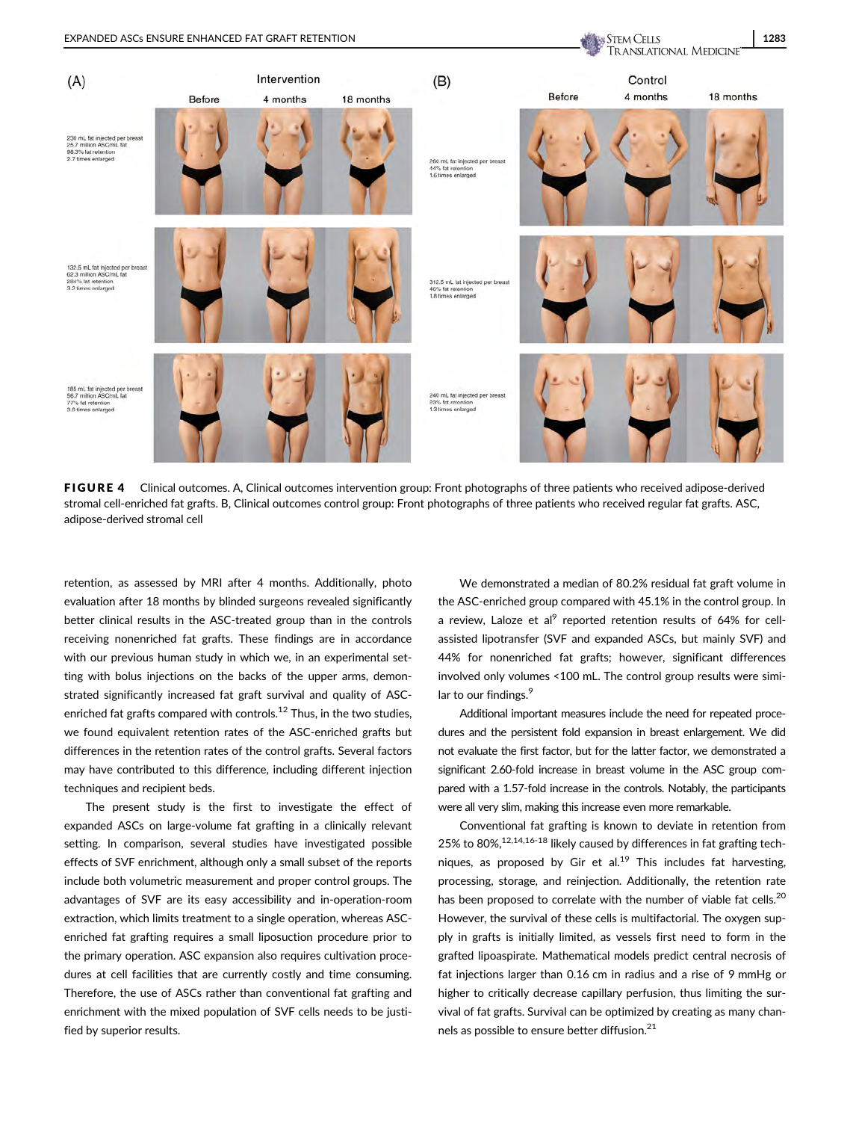

FIGURE 4 Clinical outcomes. A, Clinical outcomes intervention group: Front photographs of three patients who received adipose-derived stromal cell-enriched fat grafts. B, Clinical outcomes control group: Front photographs of three patients who received regular fat grafts. ASC, adipose-derived stromal cell

retention, as assessed by MRI after 4 months. Additionally, photo evaluation after 18 months by blinded surgeons revealed significantly better clinical results in the ASC-treated group than in the controls receiving nonenriched fat grafts. These findings are in accordance with our previous human study in which we, in an experimental setting with bolus injections on the backs of the upper arms, demonstrated significantly increased fat graft survival and quality of ASCenriched fat grafts compared with controls.<sup>12</sup> Thus, in the two studies, we found equivalent retention rates of the ASC-enriched grafts but differences in the retention rates of the control grafts. Several factors may have contributed to this difference, including different injection techniques and recipient beds.

The present study is the first to investigate the effect of expanded ASCs on large-volume fat grafting in a clinically relevant setting. In comparison, several studies have investigated possible effects of SVF enrichment, although only a small subset of the reports include both volumetric measurement and proper control groups. The advantages of SVF are its easy accessibility and in-operation-room extraction, which limits treatment to a single operation, whereas ASCenriched fat grafting requires a small liposuction procedure prior to the primary operation. ASC expansion also requires cultivation procedures at cell facilities that are currently costly and time consuming. Therefore, the use of ASCs rather than conventional fat grafting and enrichment with the mixed population of SVF cells needs to be justified by superior results.

We demonstrated a median of 80.2% residual fat graft volume in the ASC-enriched group compared with 45.1% in the control group. In a review, Laloze et al<sup>9</sup> reported retention results of 64% for cellassisted lipotransfer (SVF and expanded ASCs, but mainly SVF) and 44% for nonenriched fat grafts; however, significant differences involved only volumes <100 mL. The control group results were similar to our findings.<sup>9</sup>

Additional important measures include the need for repeated procedures and the persistent fold expansion in breast enlargement. We did not evaluate the first factor, but for the latter factor, we demonstrated a significant 2.60-fold increase in breast volume in the ASC group compared with a 1.57-fold increase in the controls. Notably, the participants were all very slim, making this increase even more remarkable.

Conventional fat grafting is known to deviate in retention from 25% to 80%,12,14,16-18 likely caused by differences in fat grafting techniques, as proposed by Gir et al.<sup>19</sup> This includes fat harvesting, processing, storage, and reinjection. Additionally, the retention rate has been proposed to correlate with the number of viable fat cells.<sup>20</sup> However, the survival of these cells is multifactorial. The oxygen supply in grafts is initially limited, as vessels first need to form in the grafted lipoaspirate. Mathematical models predict central necrosis of fat injections larger than 0.16 cm in radius and a rise of 9 mmHg or higher to critically decrease capillary perfusion, thus limiting the survival of fat grafts. Survival can be optimized by creating as many channels as possible to ensure better diffusion.<sup>21</sup>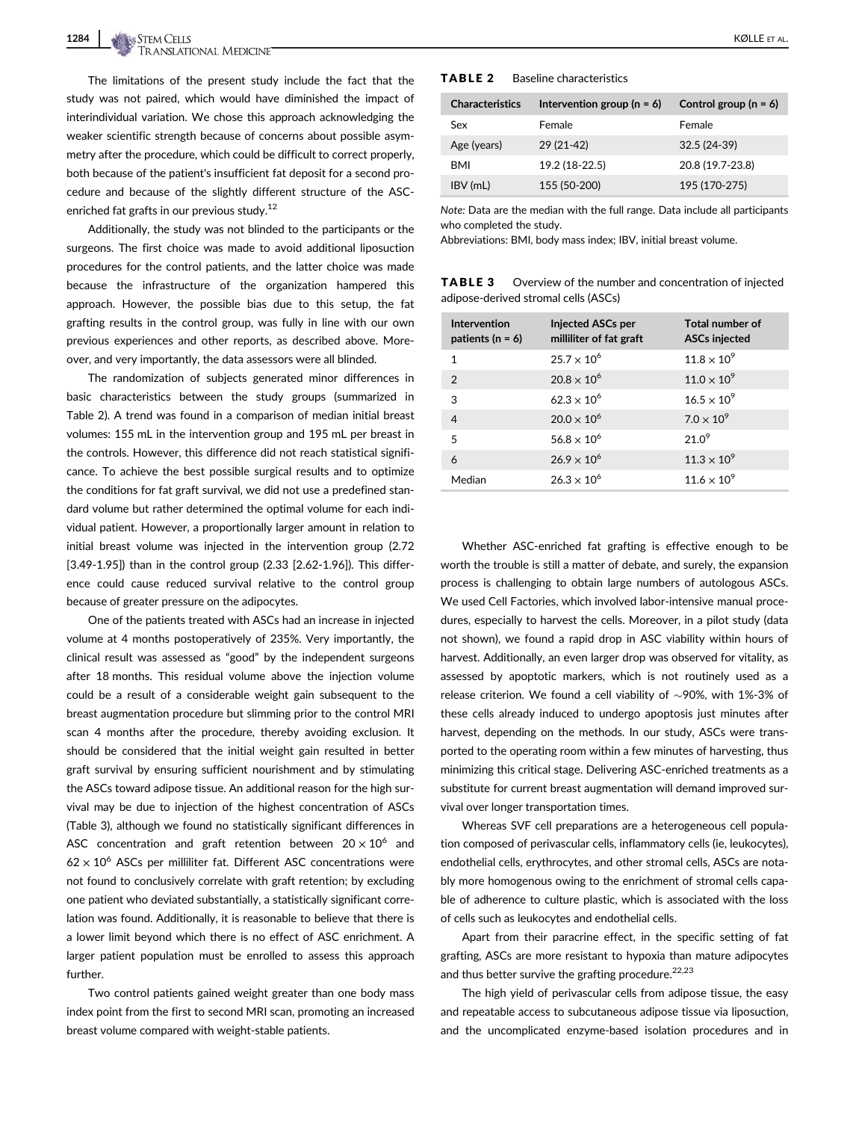The limitations of the present study include the fact that the study was not paired, which would have diminished the impact of interindividual variation. We chose this approach acknowledging the weaker scientific strength because of concerns about possible asymmetry after the procedure, which could be difficult to correct properly, both because of the patient's insufficient fat deposit for a second procedure and because of the slightly different structure of the ASCenriched fat grafts in our previous study.<sup>12</sup>

Additionally, the study was not blinded to the participants or the surgeons. The first choice was made to avoid additional liposuction procedures for the control patients, and the latter choice was made because the infrastructure of the organization hampered this approach. However, the possible bias due to this setup, the fat grafting results in the control group, was fully in line with our own previous experiences and other reports, as described above. Moreover, and very importantly, the data assessors were all blinded.

The randomization of subjects generated minor differences in basic characteristics between the study groups (summarized in Table 2). A trend was found in a comparison of median initial breast volumes: 155 mL in the intervention group and 195 mL per breast in the controls. However, this difference did not reach statistical significance. To achieve the best possible surgical results and to optimize the conditions for fat graft survival, we did not use a predefined standard volume but rather determined the optimal volume for each individual patient. However, a proportionally larger amount in relation to initial breast volume was injected in the intervention group (2.72 [3.49-1.95]) than in the control group (2.33 [2.62-1.96]). This difference could cause reduced survival relative to the control group because of greater pressure on the adipocytes.

One of the patients treated with ASCs had an increase in injected volume at 4 months postoperatively of 235%. Very importantly, the clinical result was assessed as "good" by the independent surgeons after 18 months. This residual volume above the injection volume could be a result of a considerable weight gain subsequent to the breast augmentation procedure but slimming prior to the control MRI scan 4 months after the procedure, thereby avoiding exclusion. It should be considered that the initial weight gain resulted in better graft survival by ensuring sufficient nourishment and by stimulating the ASCs toward adipose tissue. An additional reason for the high survival may be due to injection of the highest concentration of ASCs (Table 3), although we found no statistically significant differences in ASC concentration and graft retention between  $20 \times 10^6$  and  $62 \times 10^6$  ASCs per milliliter fat. Different ASC concentrations were not found to conclusively correlate with graft retention; by excluding one patient who deviated substantially, a statistically significant correlation was found. Additionally, it is reasonable to believe that there is a lower limit beyond which there is no effect of ASC enrichment. A larger patient population must be enrolled to assess this approach further.

Two control patients gained weight greater than one body mass index point from the first to second MRI scan, promoting an increased breast volume compared with weight-stable patients.

#### TABLE 2 Baseline characteristics

| <b>Characteristics</b> | Intervention group ( $n = 6$ ) | Control group $(n = 6)$ |
|------------------------|--------------------------------|-------------------------|
| Sex                    | Female                         | Female                  |
| Age (years)            | $29(21-42)$                    | $32.5(24-39)$           |
| <b>BMI</b>             | 19.2 (18-22.5)                 | 20.8 (19.7-23.8)        |
| IBV (mL)               | 155 (50-200)                   | 195 (170-275)           |

Note: Data are the median with the full range. Data include all participants who completed the study.

Abbreviations: BMI, body mass index; IBV, initial breast volume.

TABLE 3 Overview of the number and concentration of injected adipose-derived stromal cells (ASCs)

| Intervention<br>patients ( $n = 6$ ) | <b>Injected ASCs per</b><br>milliliter of fat graft | Total number of<br><b>ASCs injected</b> |
|--------------------------------------|-----------------------------------------------------|-----------------------------------------|
| 1                                    | $25.7 \times 10^{6}$                                | $11.8 \times 10^{9}$                    |
| $\mathfrak{D}$                       | $20.8 \times 10^{6}$                                | $11.0 \times 10^{9}$                    |
| 3                                    | $62.3 \times 10^{6}$                                | $16.5 \times 10^{9}$                    |
| $\overline{4}$                       | $20.0 \times 10^{6}$                                | $7.0 \times 10^9$                       |
| 5                                    | $56.8 \times 10^{6}$                                | $21.0^{9}$                              |
| 6                                    | $26.9 \times 10^{6}$                                | $11.3 \times 10^{9}$                    |
| Median                               | $26.3 \times 10^{6}$                                | $11.6 \times 10^{9}$                    |

Whether ASC-enriched fat grafting is effective enough to be worth the trouble is still a matter of debate, and surely, the expansion process is challenging to obtain large numbers of autologous ASCs. We used Cell Factories, which involved labor-intensive manual procedures, especially to harvest the cells. Moreover, in a pilot study (data not shown), we found a rapid drop in ASC viability within hours of harvest. Additionally, an even larger drop was observed for vitality, as assessed by apoptotic markers, which is not routinely used as a release criterion. We found a cell viability of  $\sim$ 90%, with 1%-3% of these cells already induced to undergo apoptosis just minutes after harvest, depending on the methods. In our study, ASCs were transported to the operating room within a few minutes of harvesting, thus minimizing this critical stage. Delivering ASC-enriched treatments as a substitute for current breast augmentation will demand improved survival over longer transportation times.

Whereas SVF cell preparations are a heterogeneous cell population composed of perivascular cells, inflammatory cells (ie, leukocytes), endothelial cells, erythrocytes, and other stromal cells, ASCs are notably more homogenous owing to the enrichment of stromal cells capable of adherence to culture plastic, which is associated with the loss of cells such as leukocytes and endothelial cells.

Apart from their paracrine effect, in the specific setting of fat grafting, ASCs are more resistant to hypoxia than mature adipocytes and thus better survive the grafting procedure. $22,23$ 

The high yield of perivascular cells from adipose tissue, the easy and repeatable access to subcutaneous adipose tissue via liposuction, and the uncomplicated enzyme-based isolation procedures and in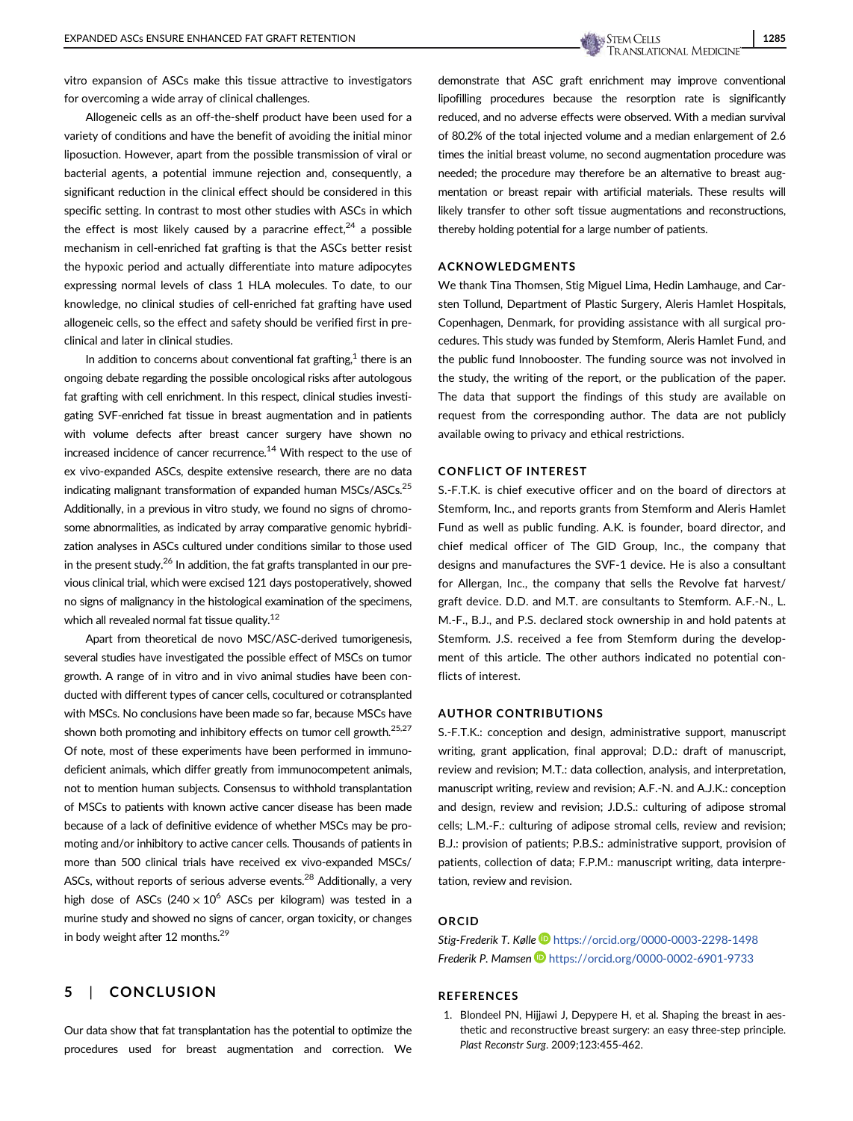vitro expansion of ASCs make this tissue attractive to investigators for overcoming a wide array of clinical challenges.

Allogeneic cells as an off-the-shelf product have been used for a variety of conditions and have the benefit of avoiding the initial minor liposuction. However, apart from the possible transmission of viral or bacterial agents, a potential immune rejection and, consequently, a significant reduction in the clinical effect should be considered in this specific setting. In contrast to most other studies with ASCs in which the effect is most likely caused by a paracrine effect, $24$  a possible mechanism in cell-enriched fat grafting is that the ASCs better resist the hypoxic period and actually differentiate into mature adipocytes expressing normal levels of class 1 HLA molecules. To date, to our knowledge, no clinical studies of cell-enriched fat grafting have used allogeneic cells, so the effect and safety should be verified first in preclinical and later in clinical studies.

In addition to concerns about conventional fat grafting, $1$  there is an ongoing debate regarding the possible oncological risks after autologous fat grafting with cell enrichment. In this respect, clinical studies investigating SVF-enriched fat tissue in breast augmentation and in patients with volume defects after breast cancer surgery have shown no increased incidence of cancer recurrence.<sup>14</sup> With respect to the use of ex vivo-expanded ASCs, despite extensive research, there are no data indicating malignant transformation of expanded human MSCs/ASCs.<sup>25</sup> Additionally, in a previous in vitro study, we found no signs of chromosome abnormalities, as indicated by array comparative genomic hybridization analyses in ASCs cultured under conditions similar to those used in the present study.<sup>26</sup> In addition, the fat grafts transplanted in our previous clinical trial, which were excised 121 days postoperatively, showed no signs of malignancy in the histological examination of the specimens, which all revealed normal fat tissue quality. $12$ 

Apart from theoretical de novo MSC/ASC-derived tumorigenesis, several studies have investigated the possible effect of MSCs on tumor growth. A range of in vitro and in vivo animal studies have been conducted with different types of cancer cells, cocultured or cotransplanted with MSCs. No conclusions have been made so far, because MSCs have shown both promoting and inhibitory effects on tumor cell growth.<sup>25,27</sup> Of note, most of these experiments have been performed in immunodeficient animals, which differ greatly from immunocompetent animals, not to mention human subjects. Consensus to withhold transplantation of MSCs to patients with known active cancer disease has been made because of a lack of definitive evidence of whether MSCs may be promoting and/or inhibitory to active cancer cells. Thousands of patients in more than 500 clinical trials have received ex vivo-expanded MSCs/ ASCs, without reports of serious adverse events.<sup>28</sup> Additionally, a very high dose of ASCs (240  $\times$  10<sup>6</sup> ASCs per kilogram) was tested in a murine study and showed no signs of cancer, organ toxicity, or changes in body weight after 12 months.<sup>29</sup>

## 5 | CONCLUSION

Our data show that fat transplantation has the potential to optimize the procedures used for breast augmentation and correction. We demonstrate that ASC graft enrichment may improve conventional lipofilling procedures because the resorption rate is significantly reduced, and no adverse effects were observed. With a median survival of 80.2% of the total injected volume and a median enlargement of 2.6 times the initial breast volume, no second augmentation procedure was needed; the procedure may therefore be an alternative to breast augmentation or breast repair with artificial materials. These results will likely transfer to other soft tissue augmentations and reconstructions, thereby holding potential for a large number of patients.

#### ACKNOWLEDGMENTS

We thank Tina Thomsen, Stig Miguel Lima, Hedin Lamhauge, and Carsten Tollund, Department of Plastic Surgery, Aleris Hamlet Hospitals, Copenhagen, Denmark, for providing assistance with all surgical procedures. This study was funded by Stemform, Aleris Hamlet Fund, and the public fund Innobooster. The funding source was not involved in the study, the writing of the report, or the publication of the paper. The data that support the findings of this study are available on request from the corresponding author. The data are not publicly available owing to privacy and ethical restrictions.

#### CONFLICT OF INTEREST

S.-F.T.K. is chief executive officer and on the board of directors at Stemform, Inc., and reports grants from Stemform and Aleris Hamlet Fund as well as public funding. A.K. is founder, board director, and chief medical officer of The GID Group, Inc., the company that designs and manufactures the SVF-1 device. He is also a consultant for Allergan, Inc., the company that sells the Revolve fat harvest/ graft device. D.D. and M.T. are consultants to Stemform. A.F.-N., L. M.-F., B.J., and P.S. declared stock ownership in and hold patents at Stemform. J.S. received a fee from Stemform during the development of this article. The other authors indicated no potential conflicts of interest.

#### AUTHOR CONTRIBUTIONS

S.-F.T.K.: conception and design, administrative support, manuscript writing, grant application, final approval; D.D.: draft of manuscript, review and revision; M.T.: data collection, analysis, and interpretation, manuscript writing, review and revision; A.F.-N. and A.J.K.: conception and design, review and revision; J.D.S.: culturing of adipose stromal cells; L.M.-F.: culturing of adipose stromal cells, review and revision; B.J.: provision of patients; P.B.S.: administrative support, provision of patients, collection of data; F.P.M.: manuscript writing, data interpretation, review and revision.

#### ORCID

Stig-Frederik T. Kølle D<https://orcid.org/0000-0003-2298-1498> Frederik P. Mamsen D<https://orcid.org/0000-0002-6901-9733>

#### REFERENCES

1. Blondeel PN, Hijjawi J, Depypere H, et al. Shaping the breast in aesthetic and reconstructive breast surgery: an easy three-step principle. Plast Reconstr Surg. 2009;123:455-462.